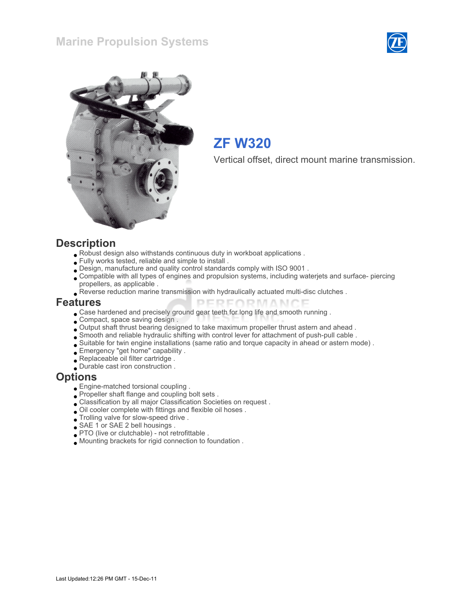



# ZF W320

Vertical offset, direct mount marine transmission.

#### **Description**

- Robust design also withstands continuous duty in workboat applications .
- Fully works tested, reliable and simple to install .
- Design, manufacture and quality control standards comply with ISO 9001 .
- Compatible with all types of engines and propulsion systems, including waterjets and surface- piercing propellers, as applicable .

PERFORMANCE

Reverse reduction marine transmission with hydraulically actuated multi-disc clutches .

#### Features

- Case hardened and precisely ground gear teeth for long life and smooth running .
- Compact, space saving design.
- Output shaft thrust bearing designed to take maximum propeller thrust astern and ahead .
- Smooth and reliable hydraulic shifting with control lever for attachment of push-pull cable .
- Suitable for twin engine installations (same ratio and torque capacity in ahead or astern mode) .
- Emergency "get home" capability .
- Replaceable oil filter cartridge .
- Durable cast iron construction .

#### **Options**

- Engine-matched torsional coupling .
- Propeller shaft flange and coupling bolt sets .
- Classification by all major Classification Societies on request .
- Oil cooler complete with fittings and flexible oil hoses .
- Trolling valve for slow-speed drive .
- SAE 1 or SAE 2 bell housings .
- PTO (live or clutchable) not retrofittable .
- Mounting brackets for rigid connection to foundation .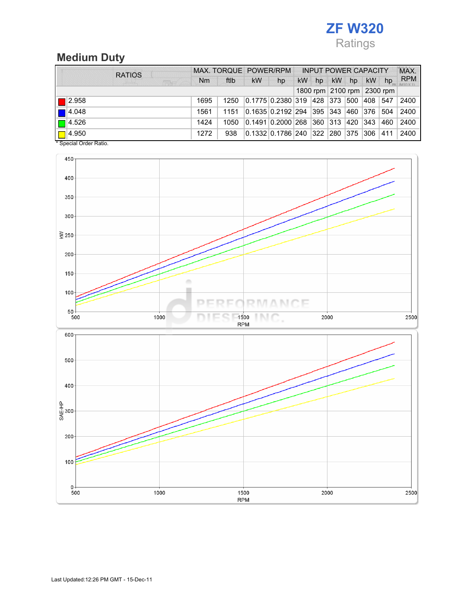# ZF W320 Ratings

### Medium Duty

| <b>RATIOS</b>        | MAX. TORQUE POWER/RPM |      |    |                                  | <b>INPUT POWER CAPACITY</b> |    |               |     | MAX.          |                            |            |
|----------------------|-----------------------|------|----|----------------------------------|-----------------------------|----|---------------|-----|---------------|----------------------------|------------|
| <b>REAC</b>          | <b>Nm</b>             | ftlb | kW | hp                               | kW                          | hp | <b>kW</b>     | hp  | <b>kW</b>     | hp                         | <b>RPM</b> |
|                      |                       |      |    |                                  |                             |    |               |     |               | 1800 rpm 2100 rpm 2300 rpm |            |
| $\blacksquare$ 2.958 | 1695                  | 1250 |    | 0.1775 0.2380 319 428 373        |                             |    |               | 500 | 408           | 547                        | 2400       |
| $\blacksquare$ 4.048 | 1561                  | 1151 |    | 0.1635  0.2192   294   395   343 |                             |    |               | 460 | 376           | 504                        | 2400       |
| $\Box$ 4.526         | 1424                  | 1050 |    | 0.1491 0.2000 268 360            |                             |    | $ 313\rangle$ | 420 | $ 343\rangle$ | 460                        | 2400       |
| $\Box$ 4.950         | 1272                  | 938  |    | 0.1332 0.1786 240 322 280 375    |                             |    |               |     | ∃306          | 411                        | 2400       |

\* Special Order Ratio.

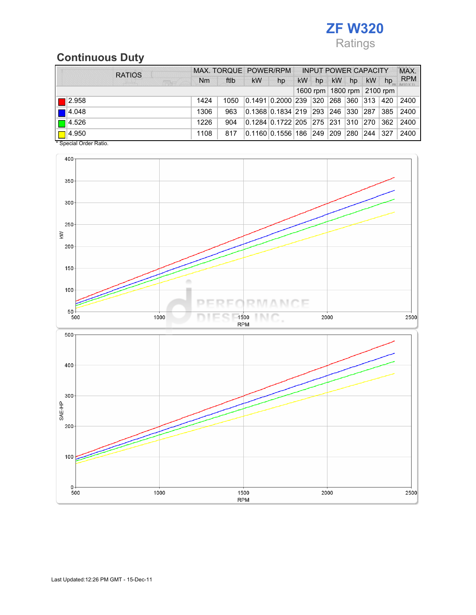# ZF W320 Ratings

### Continuous Duty

| <b>RATIOS</b>        |                | MAX. TORQUE POWER/RPM |           | <b>INPUT POWER CAPACITY</b>            |    |               |               |     |               | MAX.                           |            |
|----------------------|----------------|-----------------------|-----------|----------------------------------------|----|---------------|---------------|-----|---------------|--------------------------------|------------|
| <b>CENT</b>          | N <sub>m</sub> | ftlb                  | <b>kW</b> | hp                                     | kW | hp            | <b>kW</b>     | hp  | <b>kW</b>     | hp                             | <b>RPM</b> |
|                      |                |                       |           |                                        |    |               |               |     |               | 1600 rpm   1800 rpm   2100 rpm |            |
| $\blacksquare$ 2.958 | 1424           | 1050                  |           | 0.1491  0.2000   239   320   268   360 |    |               |               |     | $ 313\rangle$ | 420                            | 2400       |
| $\blacksquare$ 4.048 | 1306           | 963                   |           | 0.1368   0.1834   219   293            |    |               | 246 330       |     | 287           | 385                            | 2400       |
| $\Box$ 4.526         | 1226           | 904                   |           | 0.1284  0.1722   205   275   231   310 |    |               |               |     | $ 270\rangle$ | 362                            | 2400       |
| $\Box$ 4.950         | 1108           | 817                   |           | 0.1160 0.1556 186                      |    | $ 249\rangle$ | $ 209\rangle$ | 280 | 244           | 327                            | 2400       |

\* Special Order Ratio.

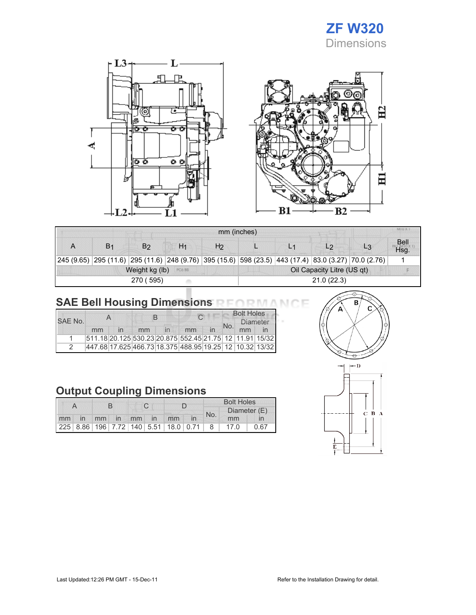



|                |                |                |                | mm (inches)    |                            |  |                                                                                                      |       | MIU A. T            |  |  |
|----------------|----------------|----------------|----------------|----------------|----------------------------|--|------------------------------------------------------------------------------------------------------|-------|---------------------|--|--|
| $\overline{A}$ | B <sub>1</sub> | B۵             | H <sub>1</sub> | H <sub>2</sub> |                            |  | L2                                                                                                   | $L_3$ | <b>Bell</b><br>Hsq. |  |  |
|                |                |                |                |                |                            |  | 245 (9.65) 295 (11.6) 295 (11.6) 248 (9.76) 395 (15.6) 598 (23.5) 443 (17.4) 83.0 (3.27) 70.0 (2.76) |       |                     |  |  |
|                |                | Weight kg (lb) | PC6 BB         |                | Oil Capacity Litre (US qt) |  |                                                                                                      |       |                     |  |  |
|                |                | 270 (595)      |                |                | 21.0(22.3)                 |  |                                                                                                      |       |                     |  |  |

## SAE Bell Housing Dimensions RFORMANCE

|         |    | $\overline{\mathsf{A}}$ |    | В                       |                                                         |                         |     | <b>Bolt Holes</b> |  |
|---------|----|-------------------------|----|-------------------------|---------------------------------------------------------|-------------------------|-----|-------------------|--|
| SAF No. |    |                         |    |                         |                                                         |                         | No. | <b>Diameter</b>   |  |
|         | mm |                         | mm | $\mathsf{I} \mathsf{n}$ | mm                                                      | $\overline{\mathsf{m}}$ |     | mm                |  |
|         |    |                         |    |                         | 511.18 20.125 530.23 20.875 552.45 21.75 12 11.91 15/32 |                         |     |                   |  |
|         |    |                         |    |                         | 447.68 17.625 466.73 18.375 488.95 19.25 12 10.32 13/32 |                         |     |                   |  |

### Output Coupling Dimensions

|    |    |  |             |  |  | <b>Bolt Holes</b>                                  |     |              |      |      |
|----|----|--|-------------|--|--|----------------------------------------------------|-----|--------------|------|------|
|    |    |  |             |  |  |                                                    | No. | Diameter (E) |      |      |
| mm | In |  | mm in mm in |  |  | mm                                                 |     |              | mm   |      |
|    |    |  |             |  |  | 225   8.86   196   7.72   140   5.51   18.0   0.71 |     | 8            | 17.0 | 0.67 |